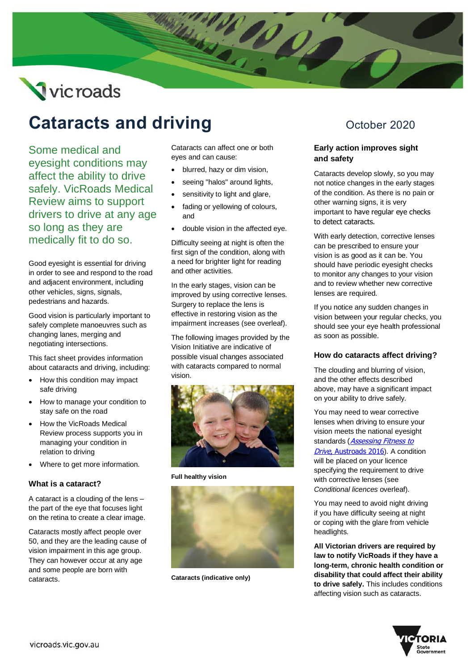# Vicroads

# **Cataracts and driving** October 2020

Some medical and eyesight conditions may affect the ability to drive safely. VicRoads Medical Review aims to support drivers to drive at any age so long as they are medically fit to do so.

Good eyesight is essential for driving in order to see and respond to the road and adjacent environment, including other vehicles, signs, signals, pedestrians and hazards.

Good vision is particularly important to safely complete manoeuvres such as changing lanes, merging and negotiating intersections.

This fact sheet provides information about cataracts and driving, including:

- How this condition may impact safe driving
- How to manage your condition to stay safe on the road
- How the VicRoads Medical Review process supports you in managing your condition in relation to driving
- Where to get more information.

# **What is a cataract?**

A cataract is a clouding of the lens – the part of the eye that focuses light on the retina to create a clear image.

Cataracts mostly affect people over 50, and they are the leading cause of vision impairment in this age group. They can however occur at any age and some people are born with cataracts.

Cataracts can affect one or both eyes and can cause:

- blurred, hazy or dim vision,
- seeing "halos" around lights,
- sensitivity to light and glare,
- fading or yellowing of colours, and
- double vision in the affected eye.

Difficulty seeing at night is often the first sign of the condition, along with a need for brighter light for reading and other activities.

In the early stages, vision can be improved by using corrective lenses. Surgery to replace the lens is effective in restoring vision as the impairment increases (see overleaf).

The following images provided by the Vision Initiative are indicative of possible visual changes associated with cataracts compared to normal vision.



**Full healthy vision**



**Cataracts (indicative only)**

# **Early action improves sight and safety**

Cataracts develop slowly, so you may not notice changes in the early stages of the condition. As there is no pain or other warning signs, it is very important to have regular eye checks to detect cataracts.

With early detection, corrective lenses can be prescribed to ensure your vision is as good as it can be. You should have periodic eyesight checks to monitor any changes to your vision and to review whether new corrective lenses are required.

If you notice any sudden changes in vision between your regular checks, you should see your eye health professional as soon as possible.

# **How do cataracts affect driving?**

The clouding and blurring of vision, and the other effects described above, may have a significant impact on your ability to drive safely.

You may need to wear corrective lenses when driving to ensure your vision meets the national eyesight standards (**Assessing Fitness to** Drive[, Austroads 2016](https://austroads.com.au/drivers-and-vehicles/assessing-fitness-to-drive)). A condition will be placed on your licence specifying the requirement to drive with corrective lenses (see *Conditional licences* overleaf).

You may need to avoid night driving if you have difficulty seeing at night or coping with the glare from vehicle headlights.

**All Victorian drivers are required by law to notify VicRoads if they have a long-term, chronic health condition or disability that could affect their ability to drive safely.** This includes conditions affecting vision such as cataracts.